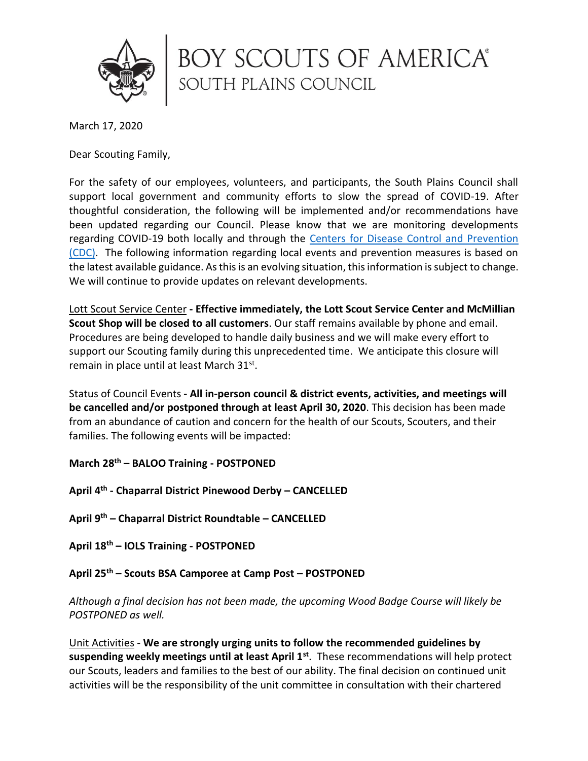

## BOY SCOUTS OF AMERICA® SOUTH PLAINS COUNCIL

March 17, 2020

Dear Scouting Family,

For the safety of our employees, volunteers, and participants, the South Plains Council shall support local government and community efforts to slow the spread of COVID-19. After thoughtful consideration, the following will be implemented and/or recommendations have been updated regarding our Council. Please know that we are monitoring developments regarding COVID-19 both locally and through the [Centers for Disease Control and Prevention](https://www.cdc.gov/coronavirus/2019-ncov/index.html)  [\(CDC\).](https://www.cdc.gov/coronavirus/2019-ncov/index.html) The following information regarding local events and prevention measures is based on the latest available guidance. As this is an evolving situation, this information is subject to change. We will continue to provide updates on relevant developments.

Lott Scout Service Center **- Effective immediately, the Lott Scout Service Center and McMillian Scout Shop will be closed to all customers**. Our staff remains available by phone and email. Procedures are being developed to handle daily business and we will make every effort to support our Scouting family during this unprecedented time. We anticipate this closure will remain in place until at least March 31st.

Status of Council Events **- All in-person council & district events, activities, and meetings will be cancelled and/or postponed through at least April 30, 2020**. This decision has been made from an abundance of caution and concern for the health of our Scouts, Scouters, and their families. The following events will be impacted:

**March 28th – BALOO Training - POSTPONED**

**April 4th - Chaparral District Pinewood Derby – CANCELLED**

**April 9th – Chaparral District Roundtable – CANCELLED**

**April 18th – IOLS Training - POSTPONED**

**April 25th – Scouts BSA Camporee at Camp Post – POSTPONED**

*Although a final decision has not been made, the upcoming Wood Badge Course will likely be POSTPONED as well.* 

Unit Activities - **We are strongly urging units to follow the recommended guidelines by suspending weekly meetings until at least April 1st** . These recommendations will help protect our Scouts, leaders and families to the best of our ability. The final decision on continued unit activities will be the responsibility of the unit committee in consultation with their chartered